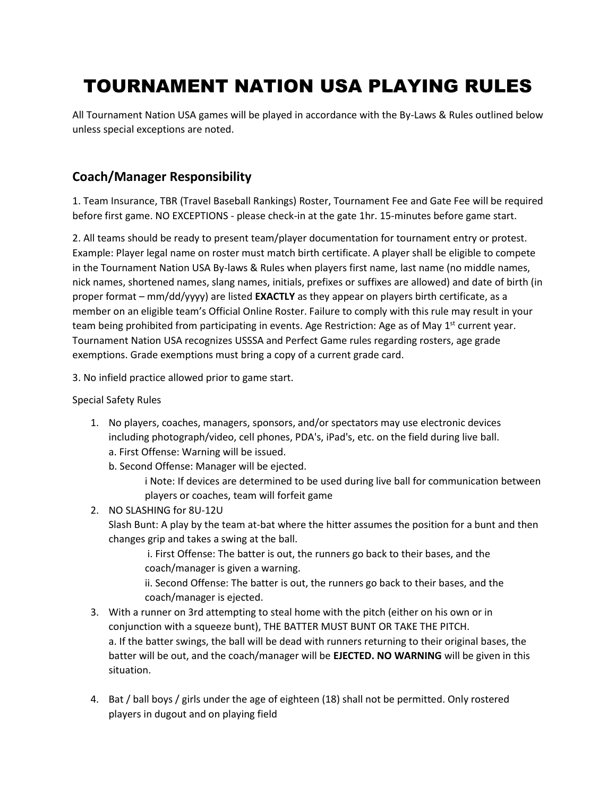# TOURNAMENT NATION USA PLAYING RULES

All Tournament Nation USA games will be played in accordance with the By-Laws & Rules outlined below unless special exceptions are noted.

### **Coach/Manager Responsibility**

1. Team Insurance, TBR (Travel Baseball Rankings) Roster, Tournament Fee and Gate Fee will be required before first game. NO EXCEPTIONS - please check-in at the gate 1hr. 15-minutes before game start.

2. All teams should be ready to present team/player documentation for tournament entry or protest. Example: Player legal name on roster must match birth certificate. A player shall be eligible to compete in the Tournament Nation USA By-laws & Rules when players first name, last name (no middle names, nick names, shortened names, slang names, initials, prefixes or suffixes are allowed) and date of birth (in proper format – mm/dd/yyyy) are listed **EXACTLY** as they appear on players birth certificate, as a member on an eligible team's Official Online Roster. Failure to comply with this rule may result in your team being prohibited from participating in events. Age Restriction: Age as of May  $1<sup>st</sup>$  current year. Tournament Nation USA recognizes USSSA and Perfect Game rules regarding rosters, age grade exemptions. Grade exemptions must bring a copy of a current grade card.

3. No infield practice allowed prior to game start.

Special Safety Rules

1. No players, coaches, managers, sponsors, and/or spectators may use electronic devices including photograph/video, cell phones, PDA's, iPad's, etc. on the field during live ball. a. First Offense: Warning will be issued.

b. Second Offense: Manager will be ejected.

i Note: If devices are determined to be used during live ball for communication between players or coaches, team will forfeit game

2. NO SLASHING for 8U-12U

Slash Bunt: A play by the team at-bat where the hitter assumes the position for a bunt and then changes grip and takes a swing at the ball.

i. First Offense: The batter is out, the runners go back to their bases, and the coach/manager is given a warning.

ii. Second Offense: The batter is out, the runners go back to their bases, and the coach/manager is ejected.

- 3. With a runner on 3rd attempting to steal home with the pitch (either on his own or in conjunction with a squeeze bunt), THE BATTER MUST BUNT OR TAKE THE PITCH. a. If the batter swings, the ball will be dead with runners returning to their original bases, the batter will be out, and the coach/manager will be **EJECTED. NO WARNING** will be given in this situation.
- 4. Bat / ball boys / girls under the age of eighteen (18) shall not be permitted. Only rostered players in dugout and on playing field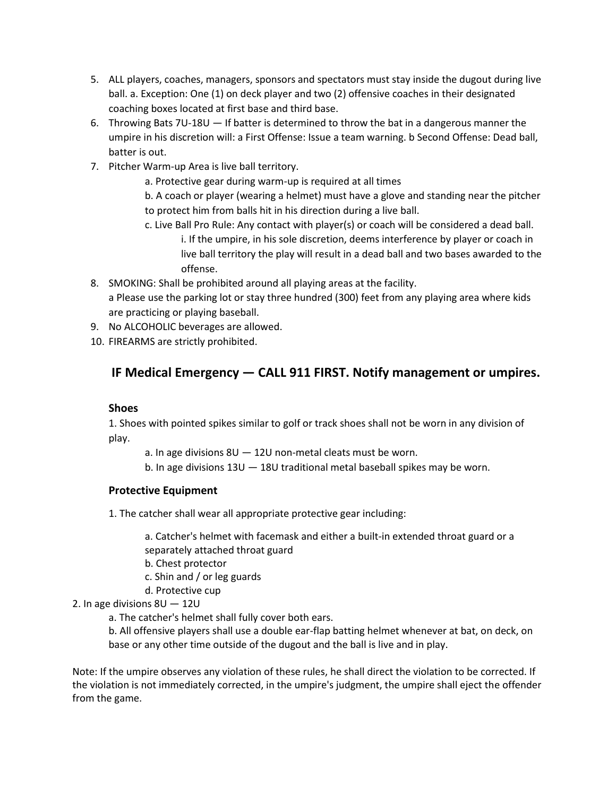- 5. ALL players, coaches, managers, sponsors and spectators must stay inside the dugout during live ball. a. Exception: One (1) on deck player and two (2) offensive coaches in their designated coaching boxes located at first base and third base.
- 6. Throwing Bats 7U-18U If batter is determined to throw the bat in a dangerous manner the umpire in his discretion will: a First Offense: Issue a team warning. b Second Offense: Dead ball, batter is out.
- 7. Pitcher Warm-up Area is live ball territory.

a. Protective gear during warm-up is required at all times

b. A coach or player (wearing a helmet) must have a glove and standing near the pitcher to protect him from balls hit in his direction during a live ball.

- c. Live Ball Pro Rule: Any contact with player(s) or coach will be considered a dead ball. i. If the umpire, in his sole discretion, deems interference by player or coach in live ball territory the play will result in a dead ball and two bases awarded to the offense.
- 8. SMOKING: Shall be prohibited around all playing areas at the facility. a Please use the parking lot or stay three hundred (300) feet from any playing area where kids are practicing or playing baseball.
- 9. No ALCOHOLIC beverages are allowed.
- 10. FIREARMS are strictly prohibited.

# **IF Medical Emergency — CALL 911 FIRST. Notify management or umpires.**

### **Shoes**

1. Shoes with pointed spikes similar to golf or track shoes shall not be worn in any division of play.

a. In age divisions 8U — 12U non-metal cleats must be worn.

b. In age divisions 13U — 18U traditional metal baseball spikes may be worn.

### **Protective Equipment**

1. The catcher shall wear all appropriate protective gear including:

a. Catcher's helmet with facemask and either a built-in extended throat guard or a separately attached throat guard

- b. Chest protector
- c. Shin and / or leg guards
- d. Protective cup

### 2. In age divisions 8U — 12U

a. The catcher's helmet shall fully cover both ears.

b. All offensive players shall use a double ear-flap batting helmet whenever at bat, on deck, on base or any other time outside of the dugout and the ball is live and in play.

Note: If the umpire observes any violation of these rules, he shall direct the violation to be corrected. If the violation is not immediately corrected, in the umpire's judgment, the umpire shall eject the offender from the game.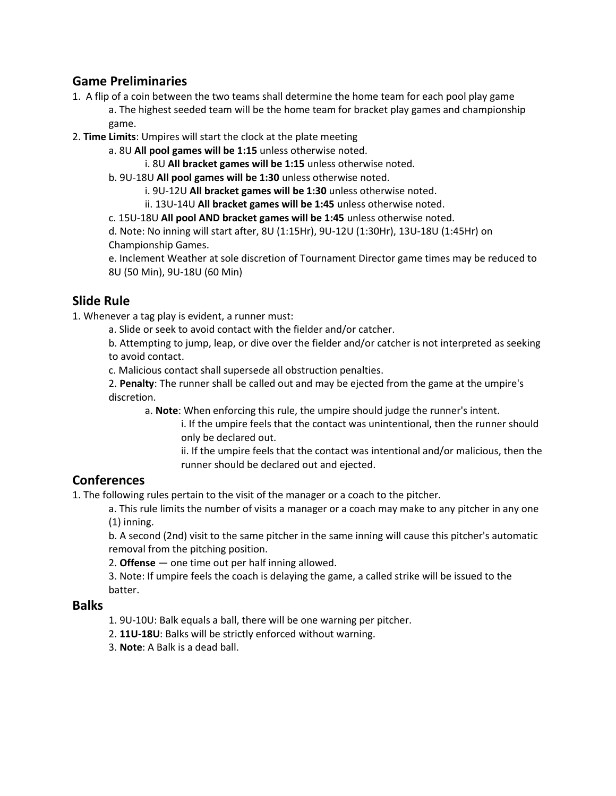### **Game Preliminaries**

- 1. A flip of a coin between the two teams shall determine the home team for each pool play game a. The highest seeded team will be the home team for bracket play games and championship game.
- 2. **Time Limits**: Umpires will start the clock at the plate meeting
	- a. 8U **All pool games will be 1:15** unless otherwise noted.

i. 8U **All bracket games will be 1:15** unless otherwise noted.

b. 9U-18U **All pool games will be 1:30** unless otherwise noted.

i. 9U-12U **All bracket games will be 1:30** unless otherwise noted.

ii. 13U-14U **All bracket games will be 1:45** unless otherwise noted.

c. 15U-18U **All pool AND bracket games will be 1:45** unless otherwise noted.

d. Note: No inning will start after, 8U (1:15Hr), 9U-12U (1:30Hr), 13U-18U (1:45Hr) on Championship Games.

e. Inclement Weather at sole discretion of Tournament Director game times may be reduced to 8U (50 Min), 9U-18U (60 Min)

# **Slide Rule**

1. Whenever a tag play is evident, a runner must:

a. Slide or seek to avoid contact with the fielder and/or catcher.

b. Attempting to jump, leap, or dive over the fielder and/or catcher is not interpreted as seeking to avoid contact.

c. Malicious contact shall supersede all obstruction penalties.

2. **Penalty**: The runner shall be called out and may be ejected from the game at the umpire's discretion.

a. **Note**: When enforcing this rule, the umpire should judge the runner's intent.

i. If the umpire feels that the contact was unintentional, then the runner should only be declared out.

ii. If the umpire feels that the contact was intentional and/or malicious, then the runner should be declared out and ejected.

### **Conferences**

1. The following rules pertain to the visit of the manager or a coach to the pitcher.

a. This rule limits the number of visits a manager or a coach may make to any pitcher in any one (1) inning.

b. A second (2nd) visit to the same pitcher in the same inning will cause this pitcher's automatic removal from the pitching position.

2. **Offense** — one time out per half inning allowed.

3. Note: If umpire feels the coach is delaying the game, a called strike will be issued to the batter.

### **Balks**

1. 9U-10U: Balk equals a ball, there will be one warning per pitcher.

- 2. **11U-18U**: Balks will be strictly enforced without warning.
- 3. **Note**: A Balk is a dead ball.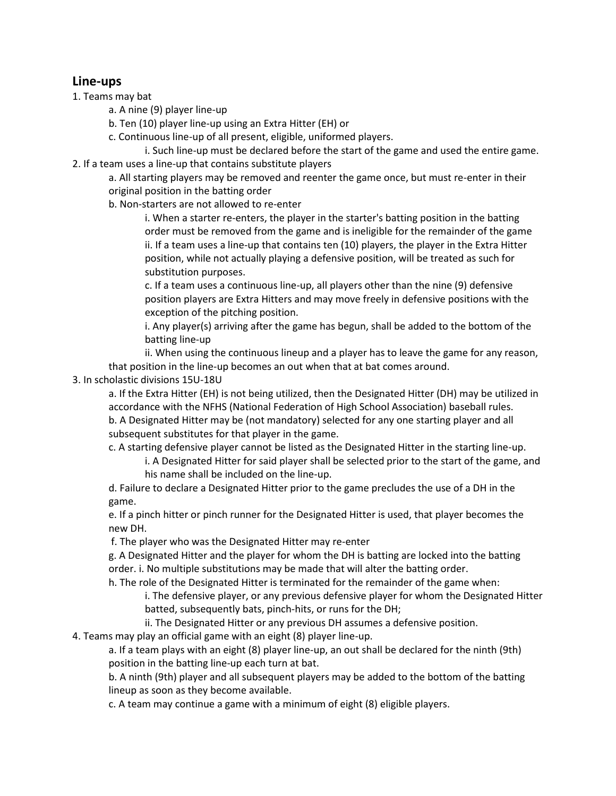### **Line-ups**

- 1. Teams may bat
	- a. A nine (9) player line-up
	- b. Ten (10) player line-up using an Extra Hitter (EH) or
	- c. Continuous line-up of all present, eligible, uniformed players.

i. Such line-up must be declared before the start of the game and used the entire game. 2. If a team uses a line-up that contains substitute players

a. All starting players may be removed and reenter the game once, but must re-enter in their original position in the batting order

b. Non-starters are not allowed to re-enter

i. When a starter re-enters, the player in the starter's batting position in the batting order must be removed from the game and is ineligible for the remainder of the game ii. If a team uses a line-up that contains ten (10) players, the player in the Extra Hitter position, while not actually playing a defensive position, will be treated as such for substitution purposes.

c. If a team uses a continuous line-up, all players other than the nine (9) defensive position players are Extra Hitters and may move freely in defensive positions with the exception of the pitching position.

i. Any player(s) arriving after the game has begun, shall be added to the bottom of the batting line-up

ii. When using the continuous lineup and a player has to leave the game for any reason, that position in the line-up becomes an out when that at bat comes around.

#### 3. In scholastic divisions 15U-18U

a. If the Extra Hitter (EH) is not being utilized, then the Designated Hitter (DH) may be utilized in accordance with the NFHS (National Federation of High School Association) baseball rules.

b. A Designated Hitter may be (not mandatory) selected for any one starting player and all subsequent substitutes for that player in the game.

c. A starting defensive player cannot be listed as the Designated Hitter in the starting line-up.

i. A Designated Hitter for said player shall be selected prior to the start of the game, and his name shall be included on the line-up.

d. Failure to declare a Designated Hitter prior to the game precludes the use of a DH in the game.

e. If a pinch hitter or pinch runner for the Designated Hitter is used, that player becomes the new DH.

f. The player who was the Designated Hitter may re-enter

g. A Designated Hitter and the player for whom the DH is batting are locked into the batting order. i. No multiple substitutions may be made that will alter the batting order.

h. The role of the Designated Hitter is terminated for the remainder of the game when:

i. The defensive player, or any previous defensive player for whom the Designated Hitter batted, subsequently bats, pinch-hits, or runs for the DH;

ii. The Designated Hitter or any previous DH assumes a defensive position.

4. Teams may play an official game with an eight (8) player line-up.

a. If a team plays with an eight (8) player line-up, an out shall be declared for the ninth (9th) position in the batting line-up each turn at bat.

b. A ninth (9th) player and all subsequent players may be added to the bottom of the batting lineup as soon as they become available.

c. A team may continue a game with a minimum of eight (8) eligible players.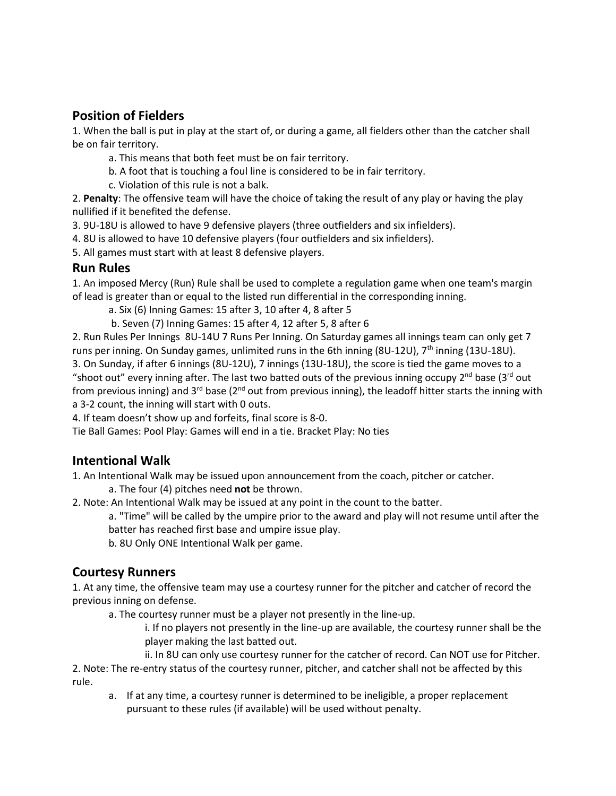# **Position of Fielders**

1. When the ball is put in play at the start of, or during a game, all fielders other than the catcher shall be on fair territory.

a. This means that both feet must be on fair territory.

b. A foot that is touching a foul line is considered to be in fair territory.

c. Violation of this rule is not a balk.

2. **Penalty**: The offensive team will have the choice of taking the result of any play or having the play nullified if it benefited the defense.

3. 9U-18U is allowed to have 9 defensive players (three outfielders and six infielders).

4. 8U is allowed to have 10 defensive players (four outfielders and six infielders).

5. All games must start with at least 8 defensive players.

### **Run Rules**

1. An imposed Mercy (Run) Rule shall be used to complete a regulation game when one team's margin of lead is greater than or equal to the listed run differential in the corresponding inning.

a. Six (6) Inning Games: 15 after 3, 10 after 4, 8 after 5

b. Seven (7) Inning Games: 15 after 4, 12 after 5, 8 after 6

2. Run Rules Per Innings 8U-14U 7 Runs Per Inning. On Saturday games all innings team can only get 7 runs per inning. On Sunday games, unlimited runs in the 6th inning (8U-12U), 7<sup>th</sup> inning (13U-18U). 3. On Sunday, if after 6 innings (8U-12U), 7 innings (13U-18U), the score is tied the game moves to a "shoot out" every inning after. The last two batted outs of the previous inning occupy 2<sup>nd</sup> base (3<sup>rd</sup> out from previous inning) and  $3^{rd}$  base ( $2^{nd}$  out from previous inning), the leadoff hitter starts the inning with a 3-2 count, the inning will start with 0 outs.

4. If team doesn't show up and forfeits, final score is 8-0.

Tie Ball Games: Pool Play: Games will end in a tie. Bracket Play: No ties

# **Intentional Walk**

1. An Intentional Walk may be issued upon announcement from the coach, pitcher or catcher.

a. The four (4) pitches need **not** be thrown.

2. Note: An Intentional Walk may be issued at any point in the count to the batter.

a. "Time" will be called by the umpire prior to the award and play will not resume until after the batter has reached first base and umpire issue play.

b. 8U Only ONE Intentional Walk per game.

# **Courtesy Runners**

1. At any time, the offensive team may use a courtesy runner for the pitcher and catcher of record the previous inning on defense.

a. The courtesy runner must be a player not presently in the line-up.

i. If no players not presently in the line-up are available, the courtesy runner shall be the player making the last batted out.

ii. In 8U can only use courtesy runner for the catcher of record. Can NOT use for Pitcher.

2. Note: The re-entry status of the courtesy runner, pitcher, and catcher shall not be affected by this rule.

a. If at any time, a courtesy runner is determined to be ineligible, a proper replacement pursuant to these rules (if available) will be used without penalty.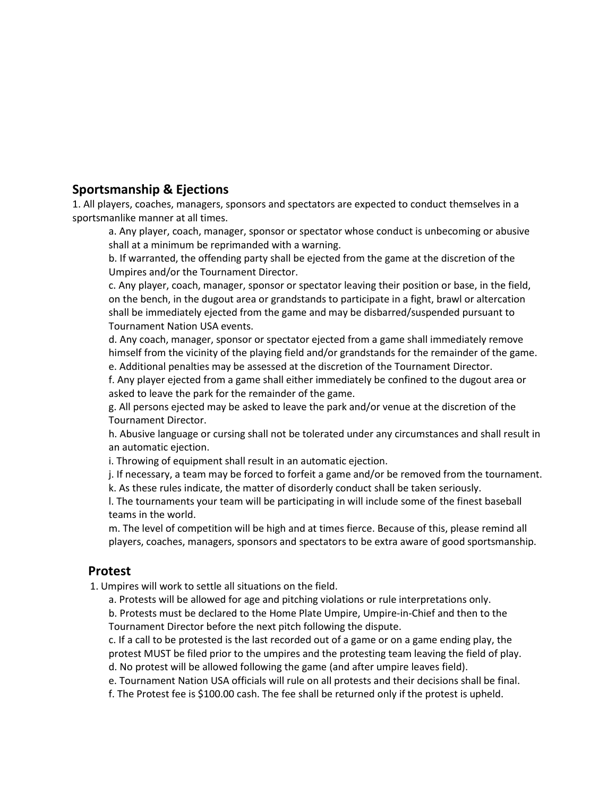## **Sportsmanship & Ejections**

1. All players, coaches, managers, sponsors and spectators are expected to conduct themselves in a sportsmanlike manner at all times.

a. Any player, coach, manager, sponsor or spectator whose conduct is unbecoming or abusive shall at a minimum be reprimanded with a warning.

b. If warranted, the offending party shall be ejected from the game at the discretion of the Umpires and/or the Tournament Director.

c. Any player, coach, manager, sponsor or spectator leaving their position or base, in the field, on the bench, in the dugout area or grandstands to participate in a fight, brawl or altercation shall be immediately ejected from the game and may be disbarred/suspended pursuant to Tournament Nation USA events.

d. Any coach, manager, sponsor or spectator ejected from a game shall immediately remove himself from the vicinity of the playing field and/or grandstands for the remainder of the game. e. Additional penalties may be assessed at the discretion of the Tournament Director.

f. Any player ejected from a game shall either immediately be confined to the dugout area or asked to leave the park for the remainder of the game.

g. All persons ejected may be asked to leave the park and/or venue at the discretion of the Tournament Director.

h. Abusive language or cursing shall not be tolerated under any circumstances and shall result in an automatic ejection.

i. Throwing of equipment shall result in an automatic ejection.

j. If necessary, a team may be forced to forfeit a game and/or be removed from the tournament.

k. As these rules indicate, the matter of disorderly conduct shall be taken seriously.

l. The tournaments your team will be participating in will include some of the finest baseball teams in the world.

m. The level of competition will be high and at times fierce. Because of this, please remind all players, coaches, managers, sponsors and spectators to be extra aware of good sportsmanship.

### **Protest**

1. Umpires will work to settle all situations on the field.

a. Protests will be allowed for age and pitching violations or rule interpretations only.

b. Protests must be declared to the Home Plate Umpire, Umpire-in-Chief and then to the Tournament Director before the next pitch following the dispute.

c. If a call to be protested is the last recorded out of a game or on a game ending play, the protest MUST be filed prior to the umpires and the protesting team leaving the field of play.

d. No protest will be allowed following the game (and after umpire leaves field).

e. Tournament Nation USA officials will rule on all protests and their decisions shall be final.

f. The Protest fee is \$100.00 cash. The fee shall be returned only if the protest is upheld.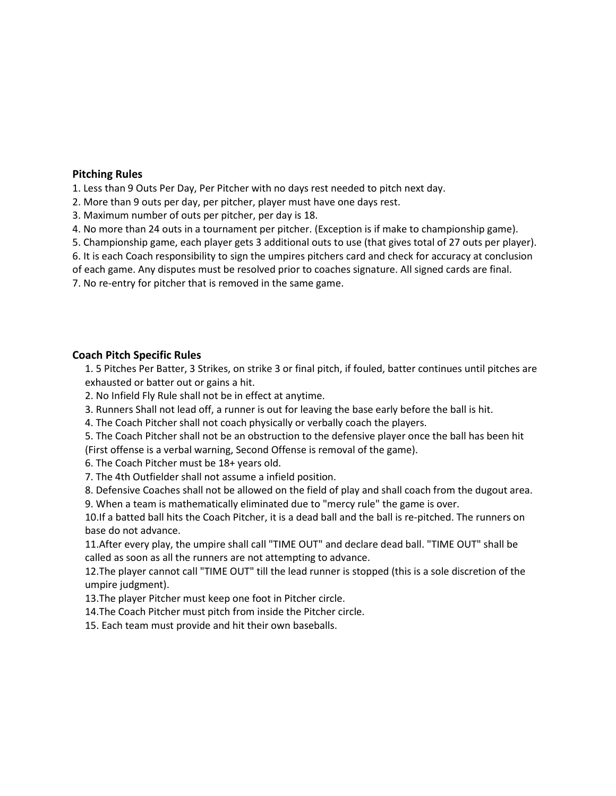#### **Pitching Rules**

1. Less than 9 Outs Per Day, Per Pitcher with no days rest needed to pitch next day.

2. More than 9 outs per day, per pitcher, player must have one days rest.

3. Maximum number of outs per pitcher, per day is 18.

4. No more than 24 outs in a tournament per pitcher. (Exception is if make to championship game).

5. Championship game, each player gets 3 additional outs to use (that gives total of 27 outs per player).

6. It is each Coach responsibility to sign the umpires pitchers card and check for accuracy at conclusion

of each game. Any disputes must be resolved prior to coaches signature. All signed cards are final.

7. No re-entry for pitcher that is removed in the same game.

#### **Coach Pitch Specific Rules**

1. 5 Pitches Per Batter, 3 Strikes, on strike 3 or final pitch, if fouled, batter continues until pitches are exhausted or batter out or gains a hit.

2. No Infield Fly Rule shall not be in effect at anytime.

3. Runners Shall not lead off, a runner is out for leaving the base early before the ball is hit.

4. The Coach Pitcher shall not coach physically or verbally coach the players.

5. The Coach Pitcher shall not be an obstruction to the defensive player once the ball has been hit (First offense is a verbal warning, Second Offense is removal of the game).

6. The Coach Pitcher must be 18+ years old.

7. The 4th Outfielder shall not assume a infield position.

8. Defensive Coaches shall not be allowed on the field of play and shall coach from the dugout area.

9. When a team is mathematically eliminated due to "mercy rule" the game is over.

10.If a batted ball hits the Coach Pitcher, it is a dead ball and the ball is re-pitched. The runners on base do not advance.

11.After every play, the umpire shall call "TIME OUT" and declare dead ball. "TIME OUT" shall be called as soon as all the runners are not attempting to advance.

12.The player cannot call "TIME OUT" till the lead runner is stopped (this is a sole discretion of the umpire judgment).

13.The player Pitcher must keep one foot in Pitcher circle.

14.The Coach Pitcher must pitch from inside the Pitcher circle.

15. Each team must provide and hit their own baseballs.